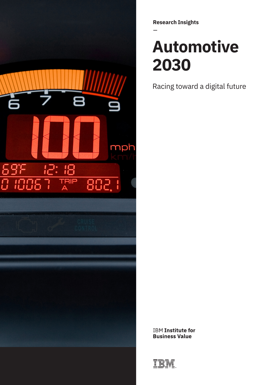

**Research Insights**

# **Automotive 2030**

Racing toward a digital future

**IBM Institute for Business Value** 

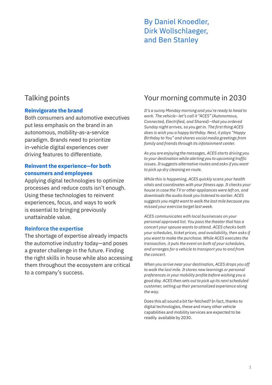### By Daniel Knoedler, Dirk Wollschlaeger, and Ben Stanley

### **Reinvigorate the brand**

Both consumers and automotive executives put less emphasis on the brand in an autonomous, mobility-as-a-service paradigm. Brands need to prioritize in-vehicle digital experiences over driving features to differentiate.

#### **Reinvent the experience—for both consumers and employees**

Applying digital technologies to optimize processes and reduce costs isn't enough. Using these technologies to reinvent experiences, focus, and ways to work is essential to bringing previously unattainable value.

### **Reinforce the expertise**

The shortage of expertise already impacts the automotive industry today—and poses a greater challenge in the future. Finding the right skills in house while also accessing them throughout the ecosystem are critical to a company's success.

## Talking points Your morning commute in 2030

*It's a sunny Monday morning and you're ready to head to work. The vehicle—let's call it "ACES" (Autonomous, Connected, Electrified, and Shared)—that you ordered Sunday night arrives, so you get in. The first thing ACES does is wish you a happy birthday. Next, it plays "Happy Birthday to You" and shares social media greetings from family and friends through its infotainment center.*

*As you are enjoying the messages, ACES starts driving you to your destination while alerting you to upcoming traffic issues. It suggests alternative routes and asks if you want to pick up dry cleaning en route.* 

*While this is happening, ACES quickly scans your health vitals and coordinates with your fitness app. It checks your house in case the TV or other appliances were left on, and downloads the audio book you listened to earlier. ACES suggests you might want to walk the last mile because you missed your exercise target last week.* 

*ACES communicates with local businesses on your personal approved list. You pass the theater that has a concert your spouse wants to attend. ACES checks both your schedules, ticket prices, and availability, then asks if you want to make the purchase. While ACES executes the transaction, it puts the event on both of your schedules, and arranges for a vehicle to transport you to and from the concert.*

*When you arrive near your destination, ACES drops you off to walk the last mile. It stores new learnings or personal preferences in your mobility profile before wishing you a good day. ACES then sets out to pick up its next scheduled customer, setting up their personalized experience along the way.*

Does this all sound a bit far-fetched? In fact, thanks to digital technologies, these and many other vehicle capabilities and mobility services are expected to be readily available by 2030.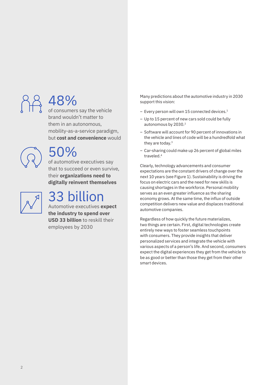# 48%

of consumers say the vehicle brand wouldn't matter to them in an autonomous, mobility-as-a-service paradigm, but **cost and convenience** would

# 50%

of automotive executives say that to succeed or even survive, their **organizations need to digitally reinvent themselves**



# 33 billion

Automotive executives **expect the industry to spend over USD 33 billion** to reskill their employees by 2030

Many predictions about the automotive industry in 2030 support this vision:

- Every person will own 15 connected devices.<sup>1</sup>
- Up to 15 percent of new cars sold could be fully autonomous by 2030.<sup>2</sup>
- Software will account for 90 percent of innovations in the vehicle and lines of code will be a hundredfold what they are today.<sup>3</sup>
- Car-sharing could make up 26 percent of global miles traveled.4

Clearly, technology advancements and consumer expectations are the constant drivers of change over the next 10 years (see Figure 1). Sustainability is driving the focus on electric cars and the need for new skills is causing shortages in the workforce. Personal mobility serves as an even greater influence as the sharing economy grows. At the same time, the influx of outside competition delivers new value and displaces traditional automotive companies.

Regardless of how quickly the future materializes, two things are certain. First, digital technologies create entirely new ways to foster seamless touchpoints with consumers. They provide insights that deliver personalized services and integrate the vehicle with various aspects of a person's life. And second, consumers expect the digital experiences they get from the vehicle to be as good or better than those they get from their other smart devices.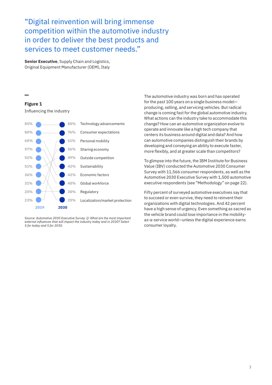"Digital reinvention will bring immense competition within the automotive industry in order to deliver the best products and services to meet customer needs."

**Senior Executive**, Supply Chain and Logistics, Original Equipment Manufacturer (OEM), Italy

#### **Figure 1**

Influencing the industry



*Source: Automotive 2030 Executive Survey. Q: What are the most important external influences that will impact the industry today and in 2030? Select 5 for today and 5 for 2030.* 

The automotive industry was born and has operated for the past 100 years on a single business model producing, selling, and servicing vehicles. But radical change is coming fast for the global automotive industry. What actions can the industry take to accommodate this change? How can an automotive organization evolve to operate and innovate like a high tech company that centers its business around digital and data? And how can automotive companies distinguish their brands by developing and conveying an ability to execute faster, more flexibly, and at greater scale than competitors?

To glimpse into the future, the IBM Institute for Business Value (IBV) conducted the Automotive 2030 Consumer Survey with 11,566 consumer respondents, as well as the Automotive 2030 Executive Survey with 1,500 automotive executive respondents (see "Methodology" on page 22).

Fifty percent of surveyed automotive executives say that to succeed or even survive, they need to reinvent their organizations with digital technologies. And 42 percent have a high sense of urgency. Even something as sacred as the vehicle brand could lose importance in the mobilityas-a-service world—unless the digital experience earns consumer loyalty.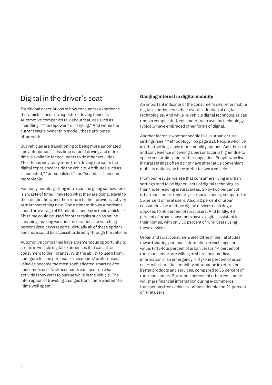### Digital in the driver's seat

Traditional descriptions of how consumers experience the vehicles focus on aspects of driving their cars. Automotive companies talk about features such as "handling," "horsepower," or "styling." And within the current single ownership model, these attributes often work.

But vehicles are transitioning to being more automated and autonomous. Less time is spent driving and more time is available for occupants to do other activities. Their focus inevitably turns from driving the car to the digital experience inside the vehicle. Attributes such as "connected," "personalized," and "seamless" become more viable.

For many people, getting into a car and going somewhere is a waste of time. They stop what they are doing, travel to their destination, and then return to their previous activity or start something new. One estimate shows Americans spend an average of 51 minutes per day in their vehicles.<sup>5</sup> This time could be used for other tasks such as online shopping, making vacation reservations, or watching personalized news reports. Virtually all of these options and more could be accessible directly through the vehicle.

Automotive companies have a tremendous opportunity to create in-vehicle digital experiences that can attract consumers to their brands. With the ability to learn from, configure to, and personalize occupants' preferences, vehicles become the most sophisticated smart device consumers use. Now occupants can focus on what activities they want to pursue while in the vehicle. The interruption of traveling changes from "time wasted" to "time well spent."

#### **Gauging interest in digital mobility**

An important indicator of the consumer's desire for mobile digital experiences is their overall adoption of digital technologies. And while in-vehicle digital technologies can remain complicated, consumers who use the technology typically have embraced other forms of digital.

Another factor is whether people live in urban or rural settings (see "Methodology" on page 22). People who live in urban settings have more mobility options. And the cost and convenience of owning a personal car is higher due to space constraints and traffic congestion. People who live in rural settings often do not have alternative convenient mobility options, so they prefer to own a vehicle.

From our results, we see that consumers living in urban settings tend to be higher users of digital technologies than those residing in rural areas. Sixty-two percent of urban consumers regularly use social media, compared to 55 percent of rural users. Also, 60 percent of urban consumers use multiple digital devices each day, as opposed to 50 percent of rural users. And finally, 48 percent of urban consumers have a digital assistant in their homes, with only 30 percent of rural users using these devices.

Urban and rural consumers also differ in their attitudes toward sharing personal information in exchange for value. Fifty-four percent of urban versus 44 percent of rural consumers are willing to share their medical information in an emergency. Fifty-one percent of urban users will share their mobility information in return for better products and services, compared to 35 percent of rural consumers. Forty-one percent of urban consumers will share financial information during e-commerce transactions from vehicles—almost double the 21 percent of rural users.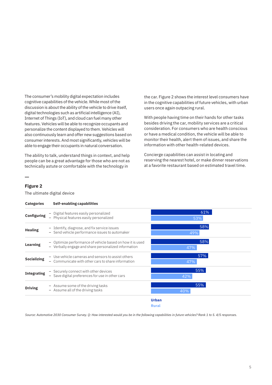The consumer's mobility digital expectation includes cognitive capabilities of the vehicle. While most of the discussion is about the ability of the vehicle to drive itself, digital technologies such as artificial intelligence (AI), Internet of Things (IoT), and cloud can fuel many other features. Vehicles will be able to recognize occupants and personalize the content displayed to them. Vehicles will also continuously learn and offer new suggestions based on consumer interests. And most significantly, vehicles will be able to engage their occupants in natural conversation.

The ability to talk, understand things in context, and help people can be a great advantage for those who are not as technically astute or comfortable with the technology in

the car. Figure 2 shows the interest level consumers have in the cognitive capabilities of future vehicles, with urban users once again outpacing rural.

With people having time on their hands for other tasks besides driving the car, mobility services are a critical consideration. For consumers who are health conscious or have a medical condition, the vehicle will be able to monitor their health, alert them of issues, and share the information with other health-related devices.

Concierge capabilities can assist in locating and reserving the nearest hotel, or make dinner reservations at a favorite restaurant based on estimated travel time.

| ο<br>ш<br>г |  |
|-------------|--|
|-------------|--|

The ultimate digital device



*Source: Automotive 2030 Consumer Survey. Q: How interested would you be in the following capabilities in future vehicles? Rank 1 to 5. 4/5 responses.*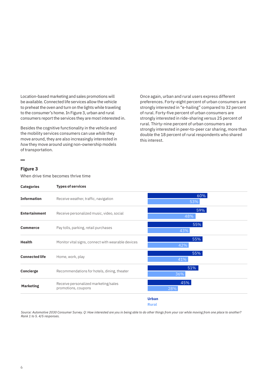Location-based marketing and sales promotions will be available. Connected life services allow the vehicle to preheat the oven and turn on the lights while traveling to the consumer's home. In Figure 3, urban and rural consumers report the services they are most interested in.

Besides the cognitive functionality in the vehicle and the mobility services consumers can use *while* they move around, they are also increasingly interested in *how* they move around using non-ownership models of transportation.

Once again, urban and rural users express different preferences. Forty-eight percent of urban consumers are strongly interested in "e-hailing" compared to 32 percent of rural. Forty-five percent of urban consumers are strongly interested in ride-sharing versus 25 percent of rural. Thirty-nine percent of urban consumers are strongly interested in peer-to-peer car sharing, more than double the 18 percent of rural respondents who shared this interest.

#### **Figure 3**

When drive time becomes thrive time

| <b>Categories</b>     | <b>Types of services</b>                                    |              |
|-----------------------|-------------------------------------------------------------|--------------|
| <b>Information</b>    | Receive weather, traffic, navigation                        | 60%<br>53%   |
| <b>Entertainment</b>  | Receive personalized music, video, social                   | 59%<br>48%   |
| <b>Commerce</b>       | Pay tolls, parking, retail purchases                        | 55%<br>43%   |
| <b>Health</b>         | Monitor vital signs, connect with wearable devices          | 55%<br>42%   |
| <b>Connected life</b> | Home, work, play                                            | 55%<br>41%   |
| Concierge             | Recommendations for hotels, dining, theater                 | 51%<br>36%   |
| <b>Marketing</b>      | Receive personalized marketing/sales<br>promotions, coupons | 45%<br>28%   |
|                       |                                                             | <b>Urban</b> |

**Rural**

*Source: Automotive 2030 Consumer Survey. Q: How interested are you in being able to do other things from your car while moving from one place to another? Rank 1 to 5. 4/5 responses.*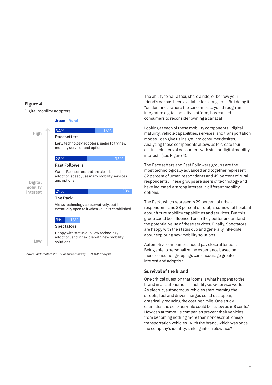#### **Figure 4**

**Digital mobility interest**

**Low**

Digital mobility adopters

**Urban Rural**

## **High**

**Pacesetters**  $34\%$  16% 16%

Early technology adopters, eager to try new mobility services and options

#### 28% 33%

#### **Fast Followers**

Watch Pacesetters and are close behind in adoption speed, use many mobility services and options

#### **The Pack** 29%

Views technology conservatively, but is eventually open to it when value is established

38%

#### 9% 13%

#### **Spectators**

Happy with status quo, low technology adoption, and inflexible with new mobility solutions

*Source: Automotive 2030 Consumer Survey. IBM IBV analysis.*

The ability to hail a taxi, share a ride, or borrow your friend's car has been available for a long time. But doing it "on demand," where the car comes to you through an integrated digital mobility platform, has caused consumers to reconsider owning a car at all.

Looking at each of these mobility components—digital maturity, vehicle capabilities, services, and transportation modes—can give us insight into consumer desires. Analyzing these components allows us to create four distinct clusters of consumers with similar digital mobility interests (see Figure 4).

The Pacesetters and Fast Followers groups are the most technologically advanced and together represent 62 percent of urban respondents and 49 percent of rural respondents. These groups are users of technology and have indicated a strong interest in different mobility options.

The Pack, which represents 29 percent of urban respondents and 38 percent of rural, is somewhat hesitant about future mobility capabilities and services. But this group could be influenced once they better understand the potential value of these services. Finally, Spectators are happy with the status quo and generally inflexible about exploring new mobility solutions.

Automotive companies should pay close attention. Being able to personalize the experience based on these consumer groupings can encourage greater interest and adoption.

#### **Survival of the brand**

One critical question that looms is what happens to the brand in an autonomous, mobility-as-a-service world. As electric, autonomous vehicles start roaming the streets, fuel and driver charges could disappear, drastically reducing the cost-per-mile. One study estimates the cost-per-mile could be as low as 6.8 cents.<sup>6</sup> How can automotive companies prevent their vehicles from becoming nothing more than nondescript, cheap transportation vehicles—with the brand, which was once the company's identity, sinking into irrelevance?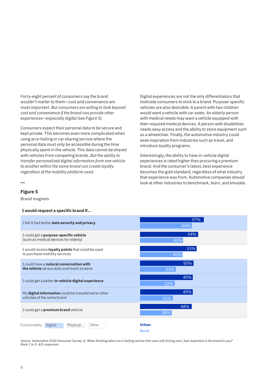Forty-eight percent of consumers say the brand wouldn't matter to them—cost and convenience are most important. *But consumers are willing to look beyond cost and convenience if the brand can provide other experiences—especially digital (see Figure 5).*

Consumers expect their personal data to be secure and kept private. This becomes even more complicated when using an e-hailing or car sharing service where the personal data must only be accessible during the time physically spent in the vehicle. This data cannot be shared with vehicles from competing brands. *But the ability to transfer personalized digital information from one vehicle to another within the same brand can create loyalty regardless of the mobility platform used.* 

Digital experiences are not the only differentiators that motivate consumers to stick to a brand. Purpose-specific vehicles are also desirable. A parent with two children would want a vehicle with car seats. An elderly person with medical needs may want a vehicle equipped with their required medical devices. A person with disabilities needs easy access and the ability to store equipment such as a wheelchair. Finally, the automotive industry could seek inspiration from industries such as travel, and introduce loyalty programs.

Interestingly, the ability to have in-vehicle digital experiences is rated higher than procuring a premium brand. And the consumer's latest, best experience becomes the gold standard, regardless of what industry that experience was from. Automotive companies should look at other industries to benchmark, learn, and emulate.

#### **Figure 5**

Brand magnets

#### **I would request a specific brand if…**

| I felt it had better data security and privacy           | 57%<br>46%                   |
|----------------------------------------------------------|------------------------------|
| I could get a purpose-specific vehicle                   | 54%                          |
| (such as medical devices for elderly)                    | 40%                          |
| I would receive <b>loyalty points</b> that could be used | 53%                          |
| to purchase mobility services                            | 40%                          |
| I could have a natural conversation with                 | 50%                          |
| the vehicle versus dials and touch screens               | 33%                          |
| I could get a better in-vehicle digital experience       | 49%<br>32%                   |
| My digital information could be transferred to other     | 49%                          |
| vehicles of the same brand                               | 31%                          |
| I could get a premium brand vehicle                      | 48%<br>28%                   |
| Other<br>Functionality<br>Digital<br>Physical            | <b>Urban</b><br><b>Rural</b> |

*Source: Automotive 2030 Consumer Survey. Q: When thinking about an e-hailing service that uses self-driving cars, how important is the brand to you? Rank 1 to 5. 4/5 responses.*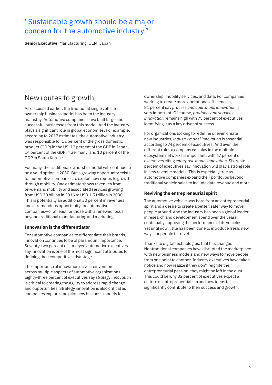### "Sustainable growth should be a major concern for the automotive industry."

**Senior Executive**, Manufacturing, OEM, Japan

### New routes to growth

As discussed earlier, the traditional single vehicle ownership business model has been the industry mainstay. Automotive companies have built large and successful businesses from this model. And the industry plays a significant role in global economies. For example, according to 2017 estimates, the automotive industry was responsible for 12 percent of the gross domestic product (GDP) in the US, 12 percent of the GDP in Japan, 14 percent of the GDP in Germany, and 10 percent of the GDP in South Korea.7

For many, the traditional ownership model will continue to be a valid option in 2030. But a growing opportunity exists for automotive companies to exploit new routes to growth through mobility. One estimate shows revenues from on-demand mobility and associated services growing from USD 30 billion in 2016 to USD 1.5 trillion in 2030. This is potentially an additional 30 percent in revenues and a tremendous opportunity for automotive companies—or at least for those with a renewed focus beyond traditional manufacturing and marketing.8

#### **Innovation is the differentiator**

For automotive companies to differentiate their brands, innovation continues to be of paramount importance. Seventy-two percent of surveyed automotive executives say innovation is one of the most significant attributes for defining their competitive advantage.

The importance of innovation drives reinvention across multiple aspects of automotive organizations. Eighty-three percent of executives say *strategy innovation* is critical to creating the agility to address rapid change and opportunities. Strategy innovation is also critical as companies explore and pilot new business models for

ownership, mobility services, and data. For companies working to create more operational efficiencies, 81 percent say *process and operations innovation* is very important. Of course, *products and services innovation* remains high with 75 percent of executives identifying it as a key driver of success.

For organizations looking to redefine or even create new industries, *industry model innovation* is essential, according to 74 percent of executives. And even the different roles a company can play in the multiple ecosystem networks is important, with 67 percent of executives citing *enterprise model innovation*. Sixty-six percent of executives say innovation will play a strong role in new revenue models. This is especially true as automotive companies expand their portfolios beyond traditional vehicle sales to include data revenue and more.

#### **Reviving the entrepreneurial spirit**

The automotive vehicle was born from an entrepreneurial spirit and a desire to create a better, safer way to move people around. And the industry has been a global leader in research and development spend over the years, continually improving the performance of its vehicles. Yet until now, little has been done to introduce fresh, new ways for people to travel.

Thanks to digital technologies, that has changed. Nontraditional companies have disrupted the marketplace with new business models and new ways to move people from one point to another. Industry executives have taken notice and now realize if they don't reignite their entrepreneurial passion, they might be left in the dust. This could be why 82 percent of executives expect a culture of entrepreneurialism and new ideas to significantly contribute to their success and growth.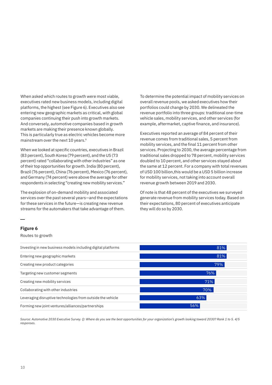When asked which routes to growth were most viable, executives rated new business models, including digital platforms, the highest (see Figure 6). Executives also see entering new geographic markets as critical, with global companies continuing their push into growth markets. And conversely, automotive companies based in growth markets are making their presence known globally. This is particularly true as electric vehicles become more mainstream over the next 10 years.<sup>9</sup>

When we looked at specific countries, executives in Brazil (83 percent), South Korea (79 percent), and the US (73 percent) rated "collaborating with other industries" as one of their top opportunities for growth. India (80 percent), Brazil (76 percent), China (76 percent), Mexico (76 percent), and Germany (74 percent) were above the average for other respondents in selecting "creating new mobility services."

The explosion of on-demand mobility and associated services over the past several years—and the expectations for these services in the future—is creating new revenue streams for the automakers that take advantage of them.

To determine the potential impact of mobility services on overall revenue pools, we asked executives how their portfolios could change by 2030. We delineated the revenue portfolio into three groups: traditional one-time vehicle sales, mobility services, and other services (for example, aftermarket, captive finance, and insurance).

Executives reported an average of 84 percent of their revenue comes from traditional sales, 5 percent from mobility services, and the final 11 percent from other services. Projecting to 2030, the average percentage from traditional sales dropped to 78 percent, mobility services doubled to 10 percent, and other services stayed about the same at 12 percent. For a company with total revenues of USD 100 billion,this would be a USD 5 billion increase for mobility services, not taking into account overall revenue growth between 2019 and 2030.

Of note is that 48 percent of the executives we surveyed generate revenue from mobility services today. Based on their expectations, 80 percent of executives anticipate they will do so by 2030.

#### **Figure 6**

Routes to growth



*Source: Automotive 2030 Executive Survey. Q: Where do you see the best opportunities for your organization's growth looking toward 2030? Rank 1 to 5. 4/5 responses.*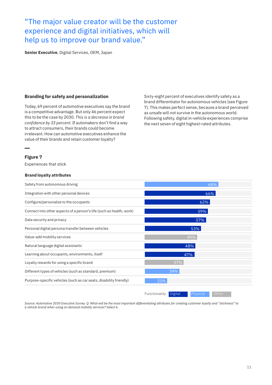### "The major value creator will be the customer experience and digital initiatives, which will help us to improve our brand value."

**Senior Executive**, Digital Services, OEM, Japan

#### **Branding for safety and personalization**

Today, 69 percent of automotive executives say the brand is a competitive advantage. But only 46 percent expect this to be the case by 2030. *This is a decrease in brand confidence by 33 percent.* If automakers don't find a way to attract consumers, their brands could become irrelevant. How can automotive executives enhance the value of their brands and retain customer loyalty?

Sixty-eight percent of executives identify safety as a brand differentiator for autonomous vehicles (see Figure 7). This makes perfect sense, because a brand perceived as unsafe will not survive in the autonomous world. Following safety, digital in-vehicle experiences comprise the next seven of eight highest-rated attributes.

#### **Figure 7**

Experiences that stick

#### **Brand loyalty attributes**



*Source: Automotive 2030 Executive Survey. Q: What will be the most important differentiating attributes for creating customer loyalty and "stickiness" to a vehicle brand when using on demand mobility services? Select 6.*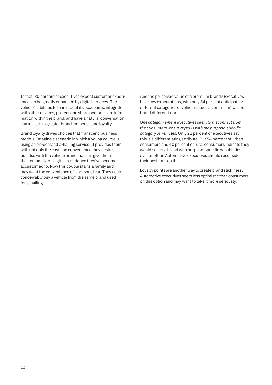In fact, 80 percent of executives expect customer experiences to be greatly enhanced by digital services. The vehicle's abilities to learn about its occupants, integrate with other devices, protect and share personalized information within the brand, and have a natural conversation can all lead to greater brand eminence and loyalty.

Brand loyalty drives choices that transcend business models. Imagine a scenario in which a young couple is using an on-demand e-hailing service. It provides them with not only the cost and convenience they desire, but also with the vehicle brand that can give them the personalized, digital experience they've become accustomed to. Now this couple starts a family and may want the convenience of a personal car. They could conceivably buy a vehicle from the same brand used for e-hailing.

And the perceived value of a premium brand? Executives have low expectations, with only 34 percent anticipating different categories of vehicles (such as premium) will be brand differentiators.

*One category where executives seem to disconnect from the consumers we surveyed is with the purpose-specific category of vehicles.* Only 21 percent of executives say this is a differentiating attribute. But 54 percent of urban consumers and 40 percent of rural consumers indicate they would select a brand with purpose-specific capabilities over another. Automotive executives should reconsider their positions on this.

Loyalty points are another way to create brand stickiness. Automotive executives seem less optimistic than consumers on this option and may want to take it more seriously.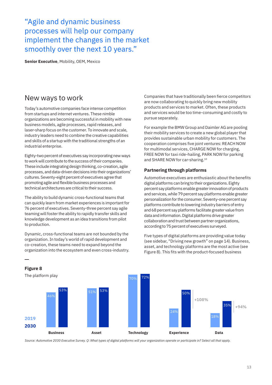"Agile and dynamic business processes will help our company implement the changes in the market smoothly over the next 10 years."

**Senior Executive**, Mobility, OEM, Mexico

### New ways to work

Today's automotive companies face intense competition from startups and internet ventures. These nimble organizations are becoming successful in mobility with new business models, agile processes, rapid releases, and laser-sharp focus on the customer. To innovate and scale, industry leaders need to combine the creative capabilities and skills of a startup with the traditional strengths of an industrial enterprise.

Eighty-two percent of executives say incorporating new ways to work will contribute to the success of their companies. These include integrating design thinking, co-creation, agile processes, and data-driven decisions into their organizations' cultures. Seventy-eight percent of executives agree that promoting agile and flexible business processes and technical architectures are critical to their success.

The ability to build dynamic cross-functional teams that can quickly learn from market experiences is important for 76 percent of executives. Seventy-three percent say agile teaming will foster the ability to rapidly transfer skills and knowledge development as an idea transitions from pilot to production.

Dynamic, cross-functional teams are not bounded by the organization. In today's world of rapid development and co-creation, these teams need to expand beyond the organization into the ecosystem and even cross-industry. Companies that have traditionally been fierce competitors are now collaborating to quickly bring new mobility products and services to market. Often, these products and services would be too time-consuming and costly to pursue separately.

For example the BMW Group and Daimler AG are pooling their mobility services to create a new global player that provides sustainable urban mobility for customers. The cooperation comprises five joint ventures: REACH NOW for multimodal services, CHARGE NOW for charging, FREE NOW for taxi ride-hailing, PARK NOW for parking and SHARE NOW for car-sharing.10

#### **Partnering through platforms**

Automotive executives are enthusiastic about the benefits digital platforms can bring to their organizations. Eighty percent say platforms enable greater innovation of products and services, while 79 percent say platforms enable greater personalization for the consumer. Seventy-one percent say platforms contribute to lowering industry barriers of entry and 68 percent say platforms facilitate greater value from data and information. Digital platforms drive greater collaboration and trust between partner organizations, according to 75 percent of executives surveyed.

**Figure 8** The platform play 46% 53% 51% 53% 70% 72% 24% 50%  $18<sup>6</sup>$ 35% **2019 2030 Business Asset Technology Experience Data +94% +108%**

Five types of digital platforms are providing value today (see sidebar, "Driving new growth" on page 14). Business, asset, and technology platforms are the most active (see Figure 8). This fits with the product-focused business

*Source: Automotive 2030 Executive Survey. Q: What types of digital platforms will your organization operate or participate in? Select all that apply.*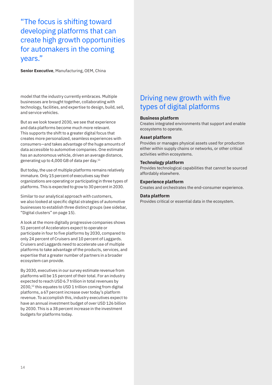"The focus is shifting toward developing platforms that can create high growth opportunities for automakers in the coming years."

**Senior Executive**, Manufacturing, OEM, China

model that the industry currently embraces. Multiple businesses are brought together, collaborating with technology, facilities, and expertise to design, build, sell, and service vehicles.

But as we look toward 2030, we see that experience and data platforms become much more relevant. This supports the shift to a greater digital focus that creates more personalized, seamless experiences with consumers—and takes advantage of the huge amounts of data accessible to automotive companies. One estimate has an autonomous vehicle, driven an average distance, generating up to 4,000 GB of data per day.11

But today, the use of multiple platforms remains relatively immature. Only 15 percent of executives say their organizations are operating or participating in three types of platforms. This is expected to grow to 30 percent in 2030.

Similar to our analytical approach with customers, we also looked at specific digital strategies of automotive businesses to establish three distinct groups (see sidebar, "Digital clusters" on page 15).

A look at the more digitally progressive companies shows 51 percent of Accelerators expect to operate or participate in four to five platforms by 2030, compared to only 24 percent of Cruisers and 10 percent of Laggards. Cruisers and Laggards need to accelerate use of multiple platforms to take advantage of the products, services, and expertise that a greater number of partners in a broader ecosystem can provide.

By 2030, executives in our survey estimate revenue from platforms will be 15 percent of their total. For an industry expected to reach USD 6.7 trillion in total revenues by 2030,<sup>12</sup> this equates to USD 1 trillion coming from digital platforms, a 67 percent increase over today's platform revenue. To accomplish this, industry executives expect to have an annual investment budget of over USD 126 billion by 2030. This is a 38 percent increase in the investment budgets for platforms today.

### Driving new growth with five types of digital platforms

#### **Business platform**

Creates integrated environments that support and enable ecosystems to operate.

#### **Asset platform**

Provides or manages physical assets used for production either within supply chains or networks, or other critical activities within ecosystems.

#### **Technology platform**

Provides technological capabilities that cannot be sourced affordably elsewhere.

#### **Experience platform**

Creates and orchestrates the end-consumer experience.

#### **Data platform**

Provides critical or essential data in the ecosystem.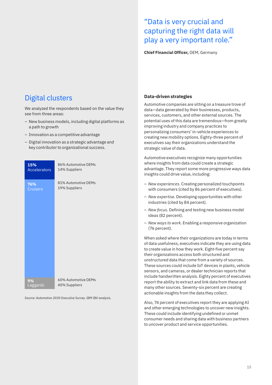### "Data is very crucial and capturing the right data will play a very important role."

**Chief Financial Officer,** OEM, Germany

### Digital clusters

We analyzed the respondents based on the value they see from three areas:

- New business models, including digital platforms as a path to growth
- Innovation as a competitive advantage
- Digital innovation as a strategic advantage and key contributor to organizational success.

| 15%                 | 86% Automotive OEMs |
|---------------------|---------------------|
| <b>Accelerators</b> | 14% Suppliers       |
| 76%                 | 81% Automotive OEMs |
| <b>Cruisers</b>     | 19% Suppliers       |
| 9%                  | 60% Automotive OEMs |
| Laggards            | 40% Suppliers       |

*Source: Automotive 2030 Executive Survey. IBM IBV analysis.*

#### **Data-driven strategies**

Automotive companies are sitting on a treasure trove of data—data generated by their businesses, products, services, customers, and other external sources. The potential uses of this data are tremendous—from greatly improving industry and company practices to personalizing consumers' in-vehicle experiences to creating new mobility options. Eighty-three percent of executives say their organizations understand the strategic value of data.

Automotive executives recognize many opportunities where insights from data could create a strategic advantage. They report some more progressive ways data insights could drive value, including:

- *New experiences*. Creating personalized touchpoints with consumers (cited by 86 percent of executives).
- *New expertise.* Developing opportunities with other industries (cited by 84 percent).
- *New focus.* Defining and testing new business model ideas (82 percent).
- *New ways to work*. Enabling a responsive organization (76 percent).

When asked where their organizations are today in terms of data usefulness, executives indicate they are using data to create value in how they work. Eight-five percent say their organizations access both structured and unstructured data that come from a variety of sources. These sources could include IoT devices in plants, vehicle sensors, and cameras, or dealer technician reports that include handwritten analysis. Eighty percent of executives report the ability to extract and link data from these and many other sources. Seventy-six percent are creating actionable insights from the data they collect.

Also, 74 percent of executives report they are applying AI and other emerging technologies to uncover new insights. These could include identifying undefined or unmet consumer needs and sharing data with business partners to uncover product and service opportunities.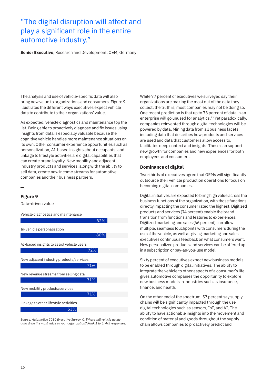### "The digital disruption will affect and play a significant role in the entire automotive industry."

**Senior Executive**, Research and Development, OEM, Germany

The analysis and use of vehicle-specific data will also bring new value to organizations and consumers. Figure 9 illustrates the different ways executives expect vehicle data to contribute to their organizations' value.

As expected, vehicle diagnostics and maintenance top the list. Being able to proactively diagnose and fix issues using insights from data is especially valuable because the cognitive vehicle handles more maintenance situations on its own. Other consumer experience opportunities such as personalization, AI-based insights about occupants, and linkage to lifestyle activities are digital capabilities that can create brand loyalty. New mobility and adjacent industry products and services, along with the ability to sell data, create new income streams for automotive companies and their business partners.

#### **Figure 9**

Data-driven value



*Source: Automotive 2030 Executive Survey. Q: Where will vehicle usage data drive the most value in your organization? Rank 1 to 5. 4/5 responses.*

While 77 percent of executives we surveyed say their organizations are making the most out of the data they collect, the truth is, most companies may not be doing so. One recent prediction is that up to 73 percent of data in an enterprise will go unused for analytics.<sup>13</sup> Yet paradoxically, companies reinvented through digital technologies will be powered by data. Mining data from all business facets, including data that describes how products and services are used and data that customers allow access to, facilitates deep context and insights. These can support new growth for companies and new experiences for both employees and consumers.

#### **Dominance of digital**

Two-thirds of executives agree that OEMs will significantly outsource their vehicle production operations to focus on becoming digital companies.

Digital initiatives are expected to bring high value across the business functions of the organization, with those functions directly impacting the consumer rated the highest. Digitized products and services (74 percent) enable the brand transition from functions and features to experiences. Digitized marketing and sales (66 percent) can allow multiple, seamless touchpoints with consumers during the use of the vehicle, as well as giving marketing and sales executives continuous feedback on what consumers want. New personalized products and services can be offered up in a subscription or pay-as-you-use model.

Sixty percent of executives expect new business models to be enabled through digital initiatives. The ability to integrate the vehicle to other aspects of a consumer's life gives automotive companies the opportunity to explore new business models in industries such as insurance, finance, and health.

On the other end of the spectrum, 57 percent say supply chains will be significantly impacted through the use digital technologies such as sensors, IoT, and AI. The ability to have actionable insights into the movement and condition of material and goods throughout the supply chain allows companies to proactively predict and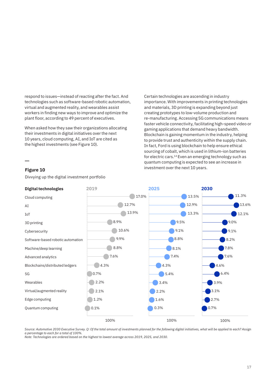respond to issues—instead of reacting after the fact. And technologies such as software-based robotic automation, virtual and augmented reality, and wearables assist workers in finding new ways to improve and optimize the plant floor, according to 49 percent of executives.

When asked how they saw their organizations allocating their investments in digital initiatives over the next 10 years, cloud computing, AI, and IoT are cited as the highest investments (see Figure 10).

Certain technologies are ascending in industry importance. With improvements in printing technologies and materials, 3D printing is expanding beyond just creating prototypes to low-volume production and re-manufacturing. Accessing 5G communications means faster vehicle connectivity, facilitating high-speed video or gaming applications that demand heavy bandwidth. Blockchain is gaining momentum in the industry, helping to provide trust and authenticity within the supply chain. In fact, Ford is using blockchain to help ensure ethical sourcing of cobalt, which is used in lithium-ion batteries for electric cars.14 Even an emerging technology such as quantum computing is expected to see an increase in investment over the next 10 years.

#### **Figure 10**

Divvying up the digital investment portfolio



*Source: Automotive 2030 Executive Survey. Q: Of the total amount of investments planned for the following digital initiatives, what will be applied to each? Assign a percentage to each for a total of 100%.* 

*Note: Technologies are ordered based on the highest to lowest average across 2019, 2025, and 2030.*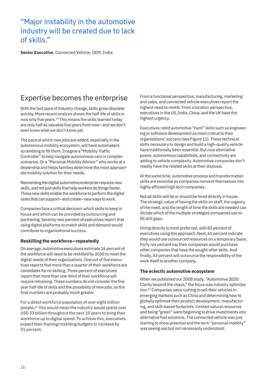### "Major instability in the automotive industry will be created due to lack of skills."

**Senior Executive**, Connected Vehicle, OEM, India

### Expertise becomes the enterprise

With the fast pace of industry change, skills grow obsolete quickly. More recent analysis shows the half-life of skills is now only five years.15 This means the skills learned today are only half as valuable five years from now—and we don't even know what we don't know yet.

The pace at which new jobs are added, especially in the autonomous mobility ecosystem, will have automakers scrambling to fill them. Imagine a "Mobility Traffic Controller" to help navigate autonomous cars in complex scenarios. Or a "Personal Mobility Advisor" who works at a dealership and helps families determine the most appropriate mobility solution for their needs.

Reinventing the digital automotive enterprise requires new skills, and not just skills that help workers do things faster. These new skills enable the workforce to perform the digital tasks that can support—and create—new ways to work.

Companies face a critical decision: which skills to keep in house and which can be provided by outsourcing and partnering. Seventy-two percent of executives report that using digital platforms to match skills and demand would contribute to organizational success.

#### **Reskilling the workforce—repeatedly**

On average, automotive executives estimate 16 percent of the workforce will need to be reskilled by 2030 to meet the digital needs of their organizations. One out of five executives reports that more than a quarter of their workforce are candidates for re-skilling. Three percent of executives report that more than one-third of their workforce will require retraining. These numbers do not consider the five year half-life of skills and the possibility of new jobs, so the final numbers are probably much greater.

For a direct workforce population of over eight million people,<sup>16</sup> this would mean the industry would spend over USD 33 billion throughout the next 10 years to bring their workforce up to digital speed. To achieve this, executives expect their training/reskilling budgets to increase by 31 percent.

From a functional perspective, manufacturing, marketing and sales, and connected vehicle executives report the highest need to reskill. From a location perspective, executives in the US, India, China, and the UK have the highest urgency.

Executives rated automotive "hard" skills such as engineering or software development as most critical to their organizations' success (see Figure 11). These technical skills necessary to design and build a high-quality vehicle have traditionally been essential. But now alternative power, autonomous capabilities, and connectivity are adding to vehicle complexity. Automotive companies don't readily have the related skills at their disposal.

At the same time, automotive process and transformation skills are essential as companies reinvent themselves into highly efficient high tech companies.

Not all skills will be or should be hired directly in house. The strategic value of having the skills on staff, the urgency of the need, and the length of time the skills are needed can dictate which of the multiple strategies companies use to fill skill gaps.

Hiring directly is most preferred, with 83 percent of executives using this approach. Next, 65 percent indicate they would use outsourced resources on a temporary basis. Forty-six percent say their companies would purchase other companies that have the sought-after skills. And finally, 43 percent will outsource the responsibility of the work itself to another company.

#### **The eclectic automotive ecosystem**

When we published our 2008 study, "Automotive 2020: Clarity beyond the chaos," the focus was industry optimization.17 Companies were rushing to sell their vehicles in emerging markets such as China and determining how to globally optimize their product development, manufacturing, and skill-based footprints. Limited natural resources and being "green" were beginning to drive investments into alternative fuel solutions. The connected vehicle was just starting to show potential and the term "personal mobility" was seeing use but not necessarily understood.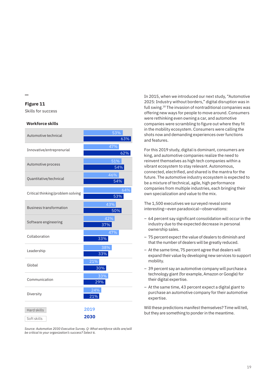**Figure 11**

Skills for success

#### **Workforce skills**

| Automotive technical              | 53%        |
|-----------------------------------|------------|
|                                   | 63%        |
| Innovative/entreprenurial         | 47%        |
|                                   | 62%        |
| Automotive process                | 51%<br>54% |
|                                   | 46%        |
| Quantitative/technical            | 54%        |
|                                   | 64%        |
| Critical thinking/problem solving | 53%        |
| <b>Business transformation</b>    | 43%<br>50% |
| Software engineering              | 42%<br>37% |
| Collaboration                     | 47%<br>33% |
| Leadership                        | 38%<br>33% |
| Global                            | 21%<br>30% |
| Communication                     | 33%<br>29% |
| Diversity                         | 24%<br>21% |
|                                   |            |
| Hard skills                       | 2019       |
| Soft skills                       | 2030       |

*Source: Automotive 2030 Executive Survey. Q: What workforce skills are/will be critical to your organization's success? Select 6.*

In 2015, when we introduced our next study, "Automotive 2025: Industry without borders," digital disruption was in full swing.18 The invasion of nontraditional companies was offering new ways for people to move around. Consumers were rethinking even owning a car, and automotive companies were scrambling to figure out where they fit in the mobility ecosystem. Consumers were calling the shots now and demanding experiences over functions and features.

For this 2019 study, digital is dominant, consumers are king, and automotive companies realize the need to reinvent themselves as high tech companies within a vibrant ecosystem to stay relevant. Autonomous, connected, electrified, and shared is the mantra for the future. The automotive industry ecosystem is expected to be a mixture of technical, agile, high performance companies from multiple industries, each bringing their own specialization and value to the mix.

The 1,500 executives we surveyed reveal some interesting—even paradoxical—observations:

- 64 percent say significant consolidation will occur in the industry due to the expected decrease in personal ownership sales.
- 75 percent expect the value of dealers to diminish and that the number of dealers will be greatly reduced.
- At the same time, 75 percent agree that dealers will expand their value by developing new services to support mobility.
- 39 percent say an automotive company will purchase a technology giant (for example, Amazon or Google) for their digital expertise.
- At the same time, 43 percent expect a digital giant to purchase an automotive company for their automotive expertise.

Will these predictions manifest themselves? Time will tell, but they are something to ponder in the meantime.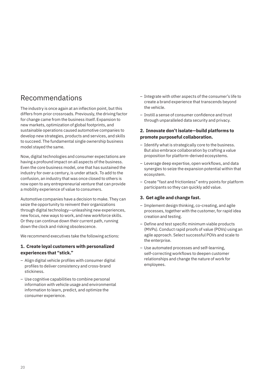### Recommendations

The industry is once again at an inflection point, but this differs from prior crossroads. Previously, the driving factor for change came from the business itself. Expansion to new markets, optimization of global footprints, and sustainable operations caused automotive companies to develop new strategies, products and services, and skills to succeed. The fundamental single ownership business model stayed the same.

Now, digital technologies and consumer expectations are having a profound impact on all aspects of the business. Even the core business model, one that has sustained the industry for over a century, is under attack. To add to the confusion, an industry that was once closed to others is now open to any entrepreneurial venture that can provide a mobility experience of value to consumers.

Automotive companies have a decision to make. They can seize the opportunity to reinvent their organizations through digital technology—unleashing new experiences, new focus, new ways to work, and new workforce skills. Or they can continue down their current path, running down the clock and risking obsolescence.

We recommend executives take the following actions:

#### **1. Create loyal customers with personalized experiences that "stick."**

- Align digital vehicle profiles with consumer digital profiles to deliver consistency and cross-brand stickiness.
- Use cognitive capabilities to combine personal information with vehicle usage and environmental information to learn, predict, and optimize the consumer experience.
- Integrate with other aspects of the consumer's life to create a brand experience that transcends beyond the vehicle.
- Instill a sense of consumer confidence and trust through unparalleled data security and privacy.

#### **2. Innovate don't isolate—build platforms to promote purposeful collaboration.**

- Identify what is strategically core to the business. But also embrace collaboration by crafting a value proposition for platform-derived ecosystems.
- Leverage deep expertise, open workflows, and data synergies to seize the expansion potential within that ecosystem.
- Create "fast and frictionless" entry points for platform participants so they can quickly add value.

#### **3. Get agile and change fast.**

- Implement design thinking, co-creating, and agile processes, together with the customer, for rapid idea creation and testing.
- Define and test specific minimum viable products (MVPs). Conduct rapid proofs of value (POVs) using an agile approach. Select successful POVs and scale to the enterprise.
- Use automated processes and self-learning, self-correcting workflows to deepen customer relationships and change the nature of work for employees.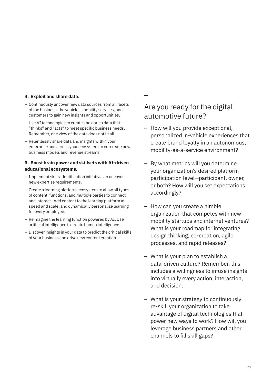#### **4. Exploit and share data.**

- Continuously uncover new data sources from all facets of the business, the vehicles, mobility services, and customers to gain new insights and opportunities.
- Use AI technologies to curate and enrich data that "thinks" and "acts" to meet specific business needs. Remember, one view of the data does not fit all.
- Relentlessly share data and insights within your enterprise and across your ecosystem to co-create new business models and revenue streams.

#### **5. Boost brain power and skillsets with AI-driven educational ecosystems.**

- Implement skills identification initiatives to uncover new expertise requirements.
- Create a learning platform ecosystem to allow all types of content, functions, and multiple parties to connect and interact. Add content to the learning platform at speed and scale, and dynamically personalize learning for every employee.
- Reimagine the learning function powered by AI. Use artificial intelligence to create human intelligence.
- Discover insights in your data to predict the critical skills of your business and drive new content creation.

### Are you ready for the digital automotive future?

- How will you provide exceptional, personalized in-vehicle experiences that create brand loyalty in an autonomous, mobility-as-a-service environment?
- By what metrics will you determine your organization's desired platform participation level—participant, owner, or both? How will you set expectations accordingly?
- How can you create a nimble organization that competes with new mobility startups and internet ventures? What is your roadmap for integrating design thinking, co-creation, agile processes, and rapid releases?
- What is your plan to establish a data-driven culture? Remember, this includes a willingness to infuse insights into virtually every action, interaction, and decision.
- What is your strategy to continuously re-skill your organization to take advantage of digital technologies that power new ways to work? How will you leverage business partners and other channels to fill skill gaps?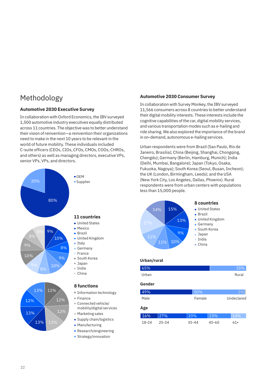### Methodology

#### **Automotive 2030 Executive Survey**

In collaboration with Oxford Economics, the IBV surveyed 1,500 automotive industry executives equally distributed across 11 countries. The objective was to better understand their vision of reinvention—a reinvention their organizations need to make in the next 10 years to be relevant in the world of future mobility. These individuals included C-suite officers (CEOs, CIOs, CFOs, CMOs, COOs, CHROs, and others) as well as managing directors, executive VPs, senior VPs, VPs, and directors.



13% 13%

#### **11 countries**

- 
- **United Kingdom**
- 
- 

#### **8 functions**

- **Information technology**
- Connected vehicle/ mobility/digital services
- Marketing sales **Supply chain/logistics**
- **Manufacturing**
- **Research/engineering**
- **Strategy/innovation**

#### **Automotive 2030 Consumer Survey**

In collaboration with Survey Monkey, the IBV surveyed 11,566 consumers across 8 countries to better understand their digital mobility interests. These interests include the cognitive capabilities of the car, digital mobility services, and various transportation modes such as e-hailing and ride sharing. We also explored the importance of the brand in on-demand, autonomous e-hailing services.

Urban respondents were from Brazil (Sao Paulo, Rio de Janeiro, Brasilia); China (Beijing, Shanghai, Chongqing, Chengdu); Germany (Berlin, Hamburg, Munich); India (Delhi, Mumbai, Bangalore); Japan (Tokyo, Osaka, Fukuoka, Nagoya); South Korea (Seoul, Busan, Incheon); the UK (London, Birmingham, Leeds); and the USA (New York City, Los Angeles, Dallas, Phoenix). Rural respondents were from urban centers with populations less than 15,000 people.



#### **Urban/rural**

#### 65% 35% Urban Rural **Gender**

### 149% and the second state of  $\sim$  50%

| Male | Female | Undeclared |
|------|--------|------------|
| Age  |        |            |

| 16%   | 27%   | $ 20\%$ | 23%   | 14% |
|-------|-------|---------|-------|-----|
| 18-24 | 25-34 | 35-44   | 45-60 | 61+ |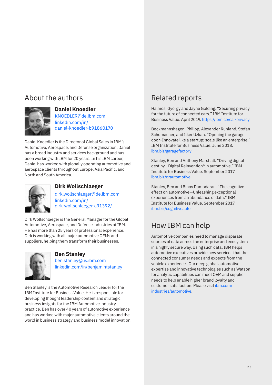## About the authors



#### **Daniel Knoedler**

[KNOEDLER@de.ibm.com](mailto:KNOEDLER%40de.ibm.com?subject=) [linkedin.com/in/](https://de.linkedin.com/in/daniel-knoedler-b91860170) [daniel-knoedler-b91860170](https://de.linkedin.com/in/daniel-knoedler-b91860170)

Daniel Knoedler is the Director of Global Sales in IBM's Automotive, Aerospace, and Defense organization. Daniel has a broad industry and services background and has been working with IBM for 20 years. In his IBM career, Daniel has worked with globally operating automotive and aerospace clients throughout Europe, Asia Pacific, and North and South America.



#### **Dirk Wollschlaeger**

[dirk.wollschlaeger@de.ibm.com](mailto:dirk.wollschlaeger%40de.ibm.com?subject=) [linkedin.com/in/](http://www.linkedin.com/in/dirk-wollschlaeger-a91392/) [dirk-wollschlaeger-a91392/](http://www.linkedin.com/in/dirk-wollschlaeger-a91392/)

Dirk Wollschlaeger is the General Manager for the Global Automotive, Aerospace, and Defense industries at IBM. He has more than 25 years of professional experience. Dirk is working with all major automotive OEMs and suppliers, helping them transform their businesses.



#### **Ben Stanley**

[ben.stanley@us.ibm.com](mailto:ben.stanley%40us.ibm.com?subject=) [linkedin.com/in/benjamintstanley](http://www.linkedin.com/in/benjamintstanley)

Ben Stanley is the Automotive Research Leader for the IBM Institute for Business Value. He is responsible for developing thought leadership content and strategic business insights for the IBM Automotive industry practice. Ben has over 40 years of automotive experience and has worked with major automotive clients around the world in business strategy and business model innovation.

## Related reports

Halmos, György and Jayne Golding. "Securing privacy for the future of connected cars." IBM Institute for Business Value. April 2019.<https://ibm.co/car-privacy>

Beckmannshagen, Philipp, Alexander Ruhland, Stefan Schumacher, and Ilker Uzkan. "Opening the garage door–Innovate like a startup; scale like an enterprise." IBM Institute for Business Value. June 2018. [ibm.biz/garagefactory](http://www.ibm.biz/garagefactory)

Stanley, Ben and Anthony Marshall. "Driving digital destiny—Digital Reinvention® in automotive." IBM Institute for Business Value. September 2017. [ibm.biz/drautomotive](http://www.ibm.biz/drautomotive)

Stanley, Ben and Binoy Damodaran. "The cognitive effect on automotive—Unleashing exceptional experiences from an abundance of data." IBM Institute for Business Value. September 2017. [ibm.biz/cognitiveauto](http://www.ibm.biz/cognitiveauto)

## How IBM can help

Automotive companies need to manage disparate sources of data across the enterprise and ecosystem in a highly secure way. Using such data, IBM helps automotive executives provide new services that the connected consumer needs and expects from the vehicle experience. Our deep global automotive expertise and innovative technologies such as Watson for analytic capabilities can meet OEM and supplier needs to help enable higher brand loyalty and customer satisfaction. Please visit [ibm.com/](http://www.ibm.com/industries/automotive) [industries/automotive.](http://www.ibm.com/industries/automotive)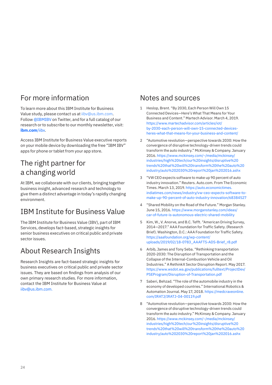### For more information

To learn more about this IBM Institute for Business Value study, please contact us at [iibv@us.ibm.com.](mailto:iibv%40us.ibm.com?subject=) Follow [@IBMIBV](https://twitter.com/IBMIBV) on Twitter, and for a full catalog of our research or to subscribe to our monthly newsletter, visit: **[ibm.com](http://www.ibm.com/ibv)**/iibv.

Access IBM Institute for Business Value executive reports on your mobile device by downloading the free "IBM IBV" apps for phone or tablet from your app store.

### The right partner for a changing world

At IBM, we collaborate with our clients, bringing together business insight, advanced research and technology to give them a distinct advantage in today's rapidly changing environment.

## IBM Institute for Business Value

The IBM Institute for Business Value (IBV), part of IBM Services, develops fact-based, strategic insights for senior business executives on critical public and private sector issues.

## About Research Insights

Research Insights are fact-based strategic insights for business executives on critical public and private sector issues. They are based on findings from analysis of our own primary research studies. For more information, contact the IBM Institute for Business Value at [iibv@us.ibm.com.](mailto:iibv%40us.ibm.com?subject=)

### Notes and sources

- 1 Heslop, Brent. "By 2030, Each Person Will Own 15 Connected Devices—Here's What That Means for Your Business and Content." Martech Advisor. March 4, 2019. [https://www.martechadvisor.com/articles/iot/](https://www.martechadvisor.com/articles/iot/by-2030-each-person-will-own-15-connected-devices-heres-what-that-means-for-your-business-and-content/) [by-2030-each-person-will-own-15-connected-devices](https://www.martechadvisor.com/articles/iot/by-2030-each-person-will-own-15-connected-devices-heres-what-that-means-for-your-business-and-content/)[heres-what-that-means-for-your-business-and-content/](https://www.martechadvisor.com/articles/iot/by-2030-each-person-will-own-15-connected-devices-heres-what-that-means-for-your-business-and-content/)
- 2 "Automotive revolution—perspective towards 2030: How the convergence of disruptive technology-driven trends could transform the auto industry." McKinsey & Company. January 2016. [https://www.mckinsey.com/~/media/mckinsey/](https://www.mckinsey.com/~/media/mckinsey/industries/high%20tech/our%20insights/disruptive%20trends%20that%20will%20transform%20the%20auto%20industry/auto%202030%20report%20jan%202016.ashx) [industries/high%20tech/our%20insights/disruptive%20](https://www.mckinsey.com/~/media/mckinsey/industries/high%20tech/our%20insights/disruptive%20trends%20that%20will%20transform%20the%20auto%20industry/auto%202030%20report%20jan%202016.ashx) [trends%20that%20will%20transform%20the%20auto%20](https://www.mckinsey.com/~/media/mckinsey/industries/high%20tech/our%20insights/disruptive%20trends%20that%20will%20transform%20the%20auto%20industry/auto%202030%20report%20jan%202016.ashx) [industry/auto%202030%20report%20jan%202016.ashx](https://www.mckinsey.com/~/media/mckinsey/industries/high%20tech/our%20insights/disruptive%20trends%20that%20will%20transform%20the%20auto%20industry/auto%202030%20report%20jan%202016.ashx)
- 3 "VW CEO expects software to make up 90 percent of auto industry innovation." Reuters. Auto.com. From The Economic Times. March 13, 2019. [https://auto.economictimes.](https://auto.economictimes.indiatimes.com/news/industry/vw-ceo-expects-software-to-make-up-90-percent-of-auto-industry-innovation/68384527) [indiatimes.com/news/industry/vw-ceo-expects-software-to](https://auto.economictimes.indiatimes.com/news/industry/vw-ceo-expects-software-to-make-up-90-percent-of-auto-industry-innovation/68384527)[make-up-90-percent-of-auto-industry-innovation/68384527](https://auto.economictimes.indiatimes.com/news/industry/vw-ceo-expects-software-to-make-up-90-percent-of-auto-industry-innovation/68384527)
- 4 "Shared Mobility on the Road of the Future." Morgan Stanley. June 15, 2016. [https://www.morganstanley.com/ideas/](https://www.morganstanley.com/ideas/car-of-future-is-autonomous-electric-shared-mobility) [car-of-future-is-autonomous-electric-shared-mobility](https://www.morganstanley.com/ideas/car-of-future-is-autonomous-electric-shared-mobility)
- 5 Kim, W., V. Anorve, and B.C. Tefft. "American Driving Survey, 2014—2017." AAA Foundation for Traffic Safety. (Research Brief). Washington, D.C.: AAA Foundation for Traffic Safety. [https://aaafoundation.org/wp-content/](https://aaafoundation.org/wp-content/uploads/2019/02/18-0783_AAAFTS-ADS-Brief_r8.pdf) [uploads/2019/02/18-0783\\_AAAFTS-ADS-Brief\\_r8.pdf](https://aaafoundation.org/wp-content/uploads/2019/02/18-0783_AAAFTS-ADS-Brief_r8.pdf)
- 6 Arbib, James and Tony Seba. "Rethinking transportation 2020-2030: The Disruption of Transportation and the Collapse of the Internal-Combustion Vehicle and Oil Industries." A RethinkX Sector Disruption Report. May 2017. [https://www.wsdot.wa.gov/publications/fulltext/ProjectDev/](https://www.wsdot.wa.gov/publications/fulltext/ProjectDev/PSEProgram/Disruption-of-Transportation.pdf) [PSEProgram/Disruption-of-Transportation.pdf](https://www.wsdot.wa.gov/publications/fulltext/ProjectDev/PSEProgram/Disruption-of-Transportation.pdf)
- 7 Saberi, Behzad. "The role of the automobile industry in the economy of developed countries." International Robotics & Automation Journal. May 17, 2018. [https://medcraveonline.](https://medcraveonline.com/IRATJ/IRATJ-04-00119.pdf) [com/IRATJ/IRATJ-04-00119.pdf](https://medcraveonline.com/IRATJ/IRATJ-04-00119.pdf)
- 8 "Automotive revolution—perspective towards 2030: How the convergence of disruptive technology-driven trends could transform the auto industry." McKinsey & Company. January 2016. [https://www.mckinsey.com/~/media/mckinsey/](https://www.mckinsey.com/~/media/mckinsey/industries/high%20tech/our%20insights/disruptive%20trends%20that%20will%20transform%20the%20auto%20industry/auto%202030%20report%20jan%202016.ashx) [industries/high%20tech/our%20insights/disruptive%20](https://www.mckinsey.com/~/media/mckinsey/industries/high%20tech/our%20insights/disruptive%20trends%20that%20will%20transform%20the%20auto%20industry/auto%202030%20report%20jan%202016.ashx) [trends%20that%20will%20transform%20the%20auto%20](https://www.mckinsey.com/~/media/mckinsey/industries/high%20tech/our%20insights/disruptive%20trends%20that%20will%20transform%20the%20auto%20industry/auto%202030%20report%20jan%202016.ashx) [industry/auto%202030%20report%20jan%202016.ashx](https://www.mckinsey.com/~/media/mckinsey/industries/high%20tech/our%20insights/disruptive%20trends%20that%20will%20transform%20the%20auto%20industry/auto%202030%20report%20jan%202016.ashx)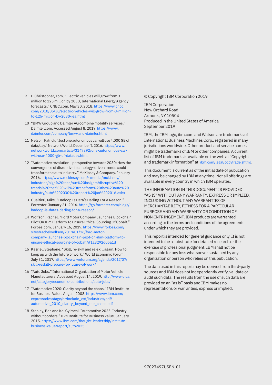- 9 DiChristopher, Tom. "Electric vehicles will grow from 3 million to 125 million by 2030, International Energy Agency forecasts." CNBC.com. May 30, 2018. [https://www.cnbc.](https://www.cnbc.com/2018/05/30/electric-vehicles-will-grow-from-3-million-to-125-million-by-2030-iea.html) [com/2018/05/30/electric-vehicles-will-grow-from-3-million](https://www.cnbc.com/2018/05/30/electric-vehicles-will-grow-from-3-million-to-125-million-by-2030-iea.html)[to-125-million-by-2030-iea.html](https://www.cnbc.com/2018/05/30/electric-vehicles-will-grow-from-3-million-to-125-million-by-2030-iea.html)
- 10 "BMW Group and Daimler AG combine mobility services." Daimler.com. Accessed August 8, 2019. [https://www.](https://www.daimler.com/company/bmw-and-daimler.html) [daimler.com/company/bmw-and-daimler.html](https://www.daimler.com/company/bmw-and-daimler.html)
- 11 Nelson, Patrick. "Just one autonomous car will use 4,000 GB of data/day." Network World. December 7, 2016. [https://www.](https://www.networkworld.com/article/3147892/one-autonomous-car-will-use-4000-gb-of-dataday.html) [networkworld.com/article/3147892/one-autonomous-car](https://www.networkworld.com/article/3147892/one-autonomous-car-will-use-4000-gb-of-dataday.html)[will-use-4000-gb-of-dataday.html](https://www.networkworld.com/article/3147892/one-autonomous-car-will-use-4000-gb-of-dataday.html)
- 12 "Automotive revolution—perspective towards 2030: How the convergence of disruptive technology-driven trends could transform the auto industry." McKinsey & Company. January 2016. [https://www.mckinsey.com/~/media/mckinsey/](https://www.mckinsey.com/~/media/mckinsey/industries/high%20tech/our%20insights/disruptive%20trends%20that%20will%20transform%20the%20auto%20industry/auto%202030%20report%20jan%202016.ashx) [industries/high%20tech/our%20insights/disruptive%20](https://www.mckinsey.com/~/media/mckinsey/industries/high%20tech/our%20insights/disruptive%20trends%20that%20will%20transform%20the%20auto%20industry/auto%202030%20report%20jan%202016.ashx) [trends%20that%20will%20transform%20the%20auto%20](https://www.mckinsey.com/~/media/mckinsey/industries/high%20tech/our%20insights/disruptive%20trends%20that%20will%20transform%20the%20auto%20industry/auto%202030%20report%20jan%202016.ashx) [industry/auto%202030%20report%20jan%202016.ashx](https://www.mckinsey.com/~/media/mckinsey/industries/high%20tech/our%20insights/disruptive%20trends%20that%20will%20transform%20the%20auto%20industry/auto%202030%20report%20jan%202016.ashx)
- 13 Gualtieri, Mike. "Hadoop Is Data's Darling For A Reason." Forrester. January 21, 2016. [https://go.forrester.com/blogs/](https://go.forrester.com/blogs/hadoop-is-datas-darling-for-a-reason/) [hadoop-is-datas-darling-for-a-reason/](https://go.forrester.com/blogs/hadoop-is-datas-darling-for-a-reason/)
- 14 Wolfson, Rachel. "Ford Motor Company Launches Blockchain Pilot On IBM Platform To Ensure Ethical Sourcing Of Cobalt." Forbes.com. January 16, 2019. [https://www.forbes.com/](https://www.forbes.com/sites/rachelwolfson/2019/01/16/ford-motor-company-launches-blockchain-pilot-on-ibm-platform-to-ensure-ethical-sourcing-of-cobalt/#1a3292d05a1d) [sites/rachelwolfson/2019/01/16/ford-motor](https://www.forbes.com/sites/rachelwolfson/2019/01/16/ford-motor-company-launches-blockchain-pilot-on-ibm-platform-to-ensure-ethical-sourcing-of-cobalt/#1a3292d05a1d)[company-launches-blockchain-pilot-on-ibm-platform-to](https://www.forbes.com/sites/rachelwolfson/2019/01/16/ford-motor-company-launches-blockchain-pilot-on-ibm-platform-to-ensure-ethical-sourcing-of-cobalt/#1a3292d05a1d)[ensure-ethical-sourcing-of-cobalt/#1a3292d05a1d](https://www.forbes.com/sites/rachelwolfson/2019/01/16/ford-motor-company-launches-blockchain-pilot-on-ibm-platform-to-ensure-ethical-sourcing-of-cobalt/#1a3292d05a1d)
- 15 Kasriel, Stephane. "Skill, re-skill and re-skill again. How to keep up with the future of work." World Economic Forum. July 31, 2017. [https://www.weforum.org/agenda/2017/07/](https://www.weforum.org/agenda/2017/07/skill-reskill-prepare-for-future-of-work/) [skill-reskill-prepare-for-future-of-work/](https://www.weforum.org/agenda/2017/07/skill-reskill-prepare-for-future-of-work/)
- 16 "Auto Jobs." International Organization of Motor Vehicle Manufacturers. Accessed August 14, 2019. [http://www.oica.](http://www.oica.net/category/economic-contributions/auto-jobs/) [net/category/economic-contributions/auto-jobs/](http://www.oica.net/category/economic-contributions/auto-jobs/)
- 17 "Automotive 2020: Clarity beyond the chaos." IBM Institute for Business Value. August 2008. [https://www.ibm.com/](https://www.ibm.com/expressadvantage/br/include_ext/industries/pdf/automotive_2010_clarity_beyond_the_chaos.pdf) [expressadvantage/br/include\\_ext/industries/pdf/](https://www.ibm.com/expressadvantage/br/include_ext/industries/pdf/automotive_2010_clarity_beyond_the_chaos.pdf) [automotive\\_2010\\_clarity\\_beyond\\_the\\_chaos.pdf](https://www.ibm.com/expressadvantage/br/include_ext/industries/pdf/automotive_2010_clarity_beyond_the_chaos.pdf)
- 18 Stanley, Ben and Kal Gyimesi. "Automotive 2025: Industry without borders." IBM Institute for Business Value. January 2015. [https://www.ibm.com/thought-leadership/institute](https://www.ibm.com/thought-leadership/institute-business-value/report/auto2025)[business-value/report/auto2025](https://www.ibm.com/thought-leadership/institute-business-value/report/auto2025)

© Copyright IBM Corporation 2019

IBM Corporation New Orchard Road Armonk, NY 10504 Produced in the United States of America September 2019

IBM, the IBM logo, ibm.com and Watson are trademarks of International Business Machines Corp., registered in many jurisdictions worldwide. Other product and service names might be trademarks of IBM or other companies. A current list of IBM trademarks is available on the web at "Copyright and trademark information" at: [ibm.com/legal/copytrade.shtml](http://www.ibm.com/legal/copytrade.shtml).

This document is current as of the initial date of publication and may be changed by IBM at any time. Not all offerings are available in every country in which IBM operates.

THE INFORMATION IN THIS DOCUMENT IS PROVIDED "AS IS" WITHOUT ANY WARRANTY, EXPRESS OR IMPLIED, INCLUDING WITHOUT ANY WARRANTIES OF MERCHANTABILITY, FITNESS FOR A PARTICULAR PURPOSE AND ANY WARRANTY OR CONDITION OF NON-INFRINGEMENT. IBM products are warranted according to the terms and conditions of the agreements under which they are provided.

This report is intended for general guidance only. It is not intended to be a substitute for detailed research or the exercise of professional judgment. IBM shall not be responsible for any loss whatsoever sustained by any organization or person who relies on this publication.

The data used in this report may be derived from third-party sources and IBM does not independently verify, validate or audit such data. The results from the use of such data are provided on an "as is" basis and IBM makes no representations or warranties, express or implied.